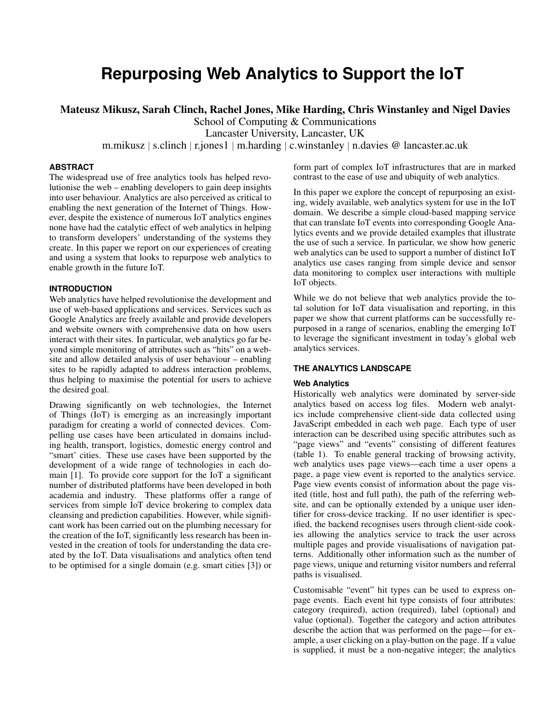# **Repurposing Web Analytics to Support the IoT**

Mateusz Mikusz, Sarah Clinch, Rachel Jones, Mike Harding, Chris Winstanley and Nigel Davies

School of Computing & Communications

Lancaster University, Lancaster, UK

m.mikusz *<sup>|</sup>* s.clinch *<sup>|</sup>* r.jones1 *<sup>|</sup>* m.harding *<sup>|</sup>* c.winstanley *<sup>|</sup>* n.davies @ lancaster.ac.uk

# **ABSTRACT**

The widespread use of free analytics tools has helped revolutionise the web – enabling developers to gain deep insights into user behaviour. Analytics are also perceived as critical to enabling the next generation of the Internet of Things. However, despite the existence of numerous IoT analytics engines none have had the catalytic effect of web analytics in helping to transform developers' understanding of the systems they create. In this paper we report on our experiences of creating and using a system that looks to repurpose web analytics to enable growth in the future IoT.

# **INTRODUCTION**

Web analytics have helped revolutionise the development and use of web-based applications and services. Services such as Google Analytics are freely available and provide developers and website owners with comprehensive data on how users interact with their sites. In particular, web analytics go far beyond simple monitoring of attributes such as "hits" on a website and allow detailed analysis of user behaviour – enabling sites to be rapidly adapted to address interaction problems, thus helping to maximise the potential for users to achieve the desired goal.

Drawing significantly on web technologies, the Internet of Things (IoT) is emerging as an increasingly important paradigm for creating a world of connected devices. Compelling use cases have been articulated in domains including health, transport, logistics, domestic energy control and "smart' cities. These use cases have been supported by the development of a wide range of technologies in each domain [\[1\]](#page-6-0). To provide core support for the IoT a significant number of distributed platforms have been developed in both academia and industry. These platforms offer a range of services from simple IoT device brokering to complex data cleansing and prediction capabilities. However, while significant work has been carried out on the plumbing necessary for the creation of the IoT, significantly less research has been invested in the creation of tools for understanding the data created by the IoT. Data visualisations and analytics often tend to be optimised for a single domain (e.g. smart cities [\[3\]](#page-6-1)) or

form part of complex IoT infrastructures that are in marked contrast to the ease of use and ubiquity of web analytics.

In this paper we explore the concept of repurposing an existing, widely available, web analytics system for use in the IoT domain. We describe a simple cloud-based mapping service that can translate IoT events into corresponding Google Analytics events and we provide detailed examples that illustrate the use of such a service. In particular, we show how generic web analytics can be used to support a number of distinct IoT analytics use cases ranging from simple device and sensor data monitoring to complex user interactions with multiple IoT objects.

While we do not believe that web analytics provide the total solution for IoT data visualisation and reporting, in this paper we show that current platforms can be successfully repurposed in a range of scenarios, enabling the emerging IoT to leverage the significant investment in today's global web analytics services.

## **THE ANALYTICS LANDSCAPE**

## **Web Analytics**

Historically web analytics were dominated by server-side analytics based on access log files. Modern web analytics include comprehensive client-side data collected using JavaScript embedded in each web page. Each type of user interaction can be described using specific attributes such as "page views" and "events" consisting of different features (table [1\)](#page-2-0). To enable general tracking of browsing activity, web analytics uses page views—each time a user opens a page, a page view event is reported to the analytics service. Page view events consist of information about the page visited (title, host and full path), the path of the referring website, and can be optionally extended by a unique user identifier for cross-device tracking. If no user identifier is specified, the backend recognises users through client-side cookies allowing the analytics service to track the user across multiple pages and provide visualisations of navigation patterns. Additionally other information such as the number of page views, unique and returning visitor numbers and referral paths is visualised.

Customisable "event" hit types can be used to express onpage events. Each event hit type consists of four attributes: category (required), action (required), label (optional) and value (optional). Together the category and action attributes describe the action that was performed on the page—for example, a user clicking on a play-button on the page. If a value is supplied, it must be a non-negative integer; the analytics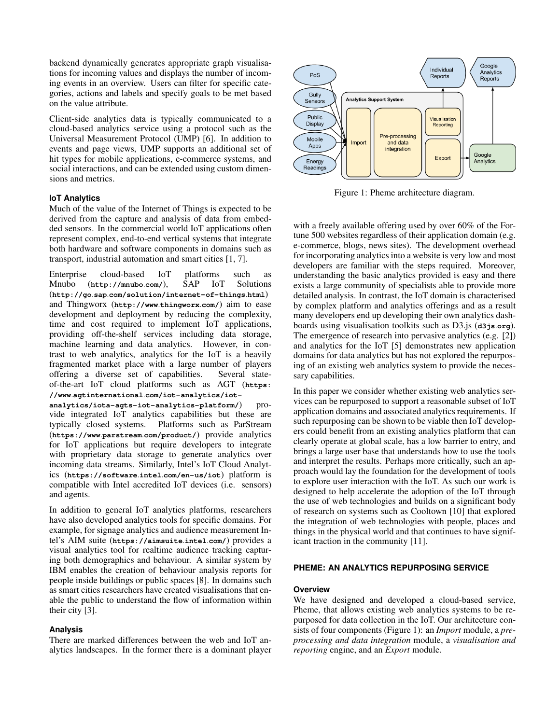backend dynamically generates appropriate graph visualisations for incoming values and displays the number of incoming events in an overview. Users can filter for specific categories, actions and labels and specify goals to be met based on the value attribute.

Client-side analytics data is typically communicated to a cloud-based analytics service using a protocol such as the Universal Measurement Protocol (UMP) [\[6\]](#page-6-2). In addition to events and page views, UMP supports an additional set of hit types for mobile applications, e-commerce systems, and social interactions, and can be extended using custom dimensions and metrics.

#### **IoT Analytics**

Much of the value of the Internet of Things is expected to be derived from the capture and analysis of data from embedded sensors. In the commercial world IoT applications often represent complex, end-to-end vertical systems that integrate both hardware and software components in domains such as transport, industrial automation and smart cities [\[1,](#page-6-0) [7\]](#page-6-3).

Enterprise cloud-based IoT platforms such as Mnubo (**[http://mnubo](http://mnubo.com/)***.***com/**), SAP IoT Solutions (**http://go***.***sap***.***[com/solution/internet-of-things](http://go.sap.com/solution/internet-of-things.html)***.***html**) and Thingworx (**[http://www](http://www.thingworx.com/)***.***thingworx***.***com/**) aim to ease development and deployment by reducing the complexity, time and cost required to implement IoT applications, providing off-the-shelf services including data storage, machine learning and data analytics. However, in contrast to web analytics, analytics for the IoT is a heavily fragmented market place with a large number of players offering a diverse set of capabilities. Several stateof-the-art IoT cloud platforms such as AGT (**[https:](https://www.agtinternational.com/iot-analytics/iot-analytics/iota-agts-iot-analytics-platform/) //www***.***agtinternational***.***[com/iot-analytics/iot-](https://www.agtinternational.com/iot-analytics/iot-analytics/iota-agts-iot-analytics-platform/)**

**[analytics/iota-agts-iot-analytics-platform/](https://www.agtinternational.com/iot-analytics/iot-analytics/iota-agts-iot-analytics-platform/)**) provide integrated IoT analytics capabilities but these are typically closed systems. Platforms such as ParStream (**https://www***.***parstream***.***[com/product/](https://www.parstream.com/product/)**) provide analytics for IoT applications but require developers to integrate with proprietary data storage to generate analytics over incoming data streams. Similarly, Intel's IoT Cloud Analytics (**[https://software](https://software.intel.com/en-us/iot)***.***intel***.***com/en-us/iot**) platform is compatible with Intel accredited IoT devices (i.e. sensors) and agents.

In addition to general IoT analytics platforms, researchers have also developed analytics tools for specific domains. For example, for signage analytics and audience measurement Intel's AIM suite (**[https://aimsuite](https://aimsuite.intel.com/)***.***intel***.***com/**) provides a visual analytics tool for realtime audience tracking capturing both demographics and behaviour. A similar system by IBM enables the creation of behaviour analysis reports for people inside buildings or public spaces [\[8\]](#page-6-4). In domains such as smart cities researchers have created visualisations that enable the public to understand the flow of information within their city [\[3\]](#page-6-1).

#### **Analysis**

There are marked differences between the web and IoT analytics landscapes. In the former there is a dominant player

<span id="page-1-0"></span>

Figure 1: Pheme architecture diagram.

with a freely available offering used by over 60% of the Fortune 500 websites regardless of their application domain (e.g. e-commerce, blogs, news sites). The development overhead for incorporating analytics into a website is very low and most developers are familiar with the steps required. Moreover, understanding the basic analytics provided is easy and there exists a large community of specialists able to provide more detailed analysis. In contrast, the IoT domain is characterised by complex platform and analytics offerings and as a result many developers end up developing their own analytics dashboards using visualisation toolkits such as D3.js (**[d3js](d3js.org)***.***org**). The emergence of research into pervasive analytics (e.g. [\[2\]](#page-6-5)) and analytics for the IoT [\[5\]](#page-6-6) demonstrates new application domains for data analytics but has not explored the repurposing of an existing web analytics system to provide the necessary capabilities.

In this paper we consider whether existing web analytics services can be repurposed to support a reasonable subset of IoT application domains and associated analytics requirements. If such repurposing can be shown to be viable then IoT developers could benefit from an existing analytics platform that can clearly operate at global scale, has a low barrier to entry, and brings a large user base that understands how to use the tools and interpret the results. Perhaps more critically, such an approach would lay the foundation for the development of tools to explore user interaction with the IoT. As such our work is designed to help accelerate the adoption of the IoT through the use of web technologies and builds on a significant body of research on systems such as Cooltown [\[10\]](#page-6-7) that explored the integration of web technologies with people, places and things in the physical world and that continues to have significant traction in the community [\[11\]](#page-6-8).

## **PHEME: AN ANALYTICS REPURPOSING SERVICE**

#### **Overview**

We have designed and developed a cloud-based service, Pheme, that allows existing web analytics systems to be repurposed for data collection in the IoT. Our architecture consists of four components (Figure [1\)](#page-1-0): an *Import* module, a *preprocessing and data integration* module, a *visualisation and reporting* engine, and an *Export* module.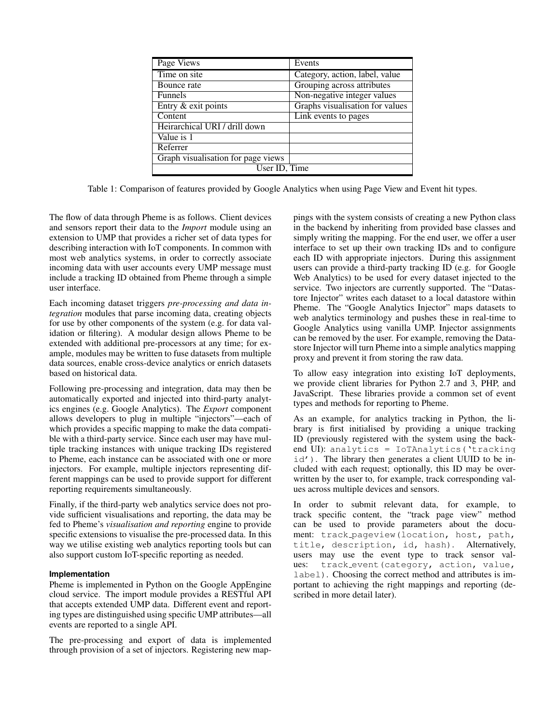<span id="page-2-0"></span>

| Page Views                         | Events                          |
|------------------------------------|---------------------------------|
| Time on site                       | Category, action, label, value  |
| Bounce rate                        | Grouping across attributes      |
| <b>Funnels</b>                     | Non-negative integer values     |
| Entry & exit points                | Graphs visualisation for values |
| Content                            | Link events to pages            |
| Heirarchical URI / drill down      |                                 |
| Value is 1                         |                                 |
| Referrer                           |                                 |
| Graph visualisation for page views |                                 |
| User ID, Time                      |                                 |

Table 1: Comparison of features provided by Google Analytics when using Page View and Event hit types.

The flow of data through Pheme is as follows. Client devices and sensors report their data to the *Import* module using an extension to UMP that provides a richer set of data types for describing interaction with IoT components. In common with most web analytics systems, in order to correctly associate incoming data with user accounts every UMP message must include a tracking ID obtained from Pheme through a simple user interface.

Each incoming dataset triggers *pre-processing and data integration* modules that parse incoming data, creating objects for use by other components of the system (e.g. for data validation or filtering). A modular design allows Pheme to be extended with additional pre-processors at any time; for example, modules may be written to fuse datasets from multiple data sources, enable cross-device analytics or enrich datasets based on historical data.

Following pre-processing and integration, data may then be automatically exported and injected into third-party analytics engines (e.g. Google Analytics). The *Export* component allows developers to plug in multiple "injectors"—each of which provides a specific mapping to make the data compatible with a third-party service. Since each user may have multiple tracking instances with unique tracking IDs registered to Pheme, each instance can be associated with one or more injectors. For example, multiple injectors representing different mappings can be used to provide support for different reporting requirements simultaneously.

Finally, if the third-party web analytics service does not provide sufficient visualisations and reporting, the data may be fed to Pheme's *visualisation and reporting* engine to provide specific extensions to visualise the pre-processed data. In this way we utilise existing web analytics reporting tools but can also support custom IoT-specific reporting as needed.

## **Implementation**

Pheme is implemented in Python on the Google AppEngine cloud service. The import module provides a RESTful API that accepts extended UMP data. Different event and reporting types are distinguished using specific UMP attributes—all events are reported to a single API.

The pre-processing and export of data is implemented through provision of a set of injectors. Registering new map-

pings with the system consists of creating a new Python class in the backend by inheriting from provided base classes and simply writing the mapping. For the end user, we offer a user interface to set up their own tracking IDs and to configure each ID with appropriate injectors. During this assignment users can provide a third-party tracking ID (e.g. for Google Web Analytics) to be used for every dataset injected to the service. Two injectors are currently supported. The "Datastore Injector" writes each dataset to a local datastore within Pheme. The "Google Analytics Injector" maps datasets to web analytics terminology and pushes these in real-time to Google Analytics using vanilla UMP. Injector assignments can be removed by the user. For example, removing the Datastore Injector will turn Pheme into a simple analytics mapping proxy and prevent it from storing the raw data.

To allow easy integration into existing IoT deployments, we provide client libraries for Python 2.7 and 3, PHP, and JavaScript. These libraries provide a common set of event types and methods for reporting to Pheme.

As an example, for analytics tracking in Python, the library is first initialised by providing a unique tracking ID (previously registered with the system using the backend UI): analytics = IoTAnalytics('tracking id'). The library then generates a client UUID to be included with each request; optionally, this ID may be overwritten by the user to, for example, track corresponding values across multiple devices and sensors.

In order to submit relevant data, for example, to track specific content, the "track page view" method can be used to provide parameters about the document: track pageview(location, host, path, title, description, id, hash). Alternatively, users may use the event type to track sensor values: track\_event(category, action, value, label). Choosing the correct method and attributes is important to achieving the right mappings and reporting (described in more detail later).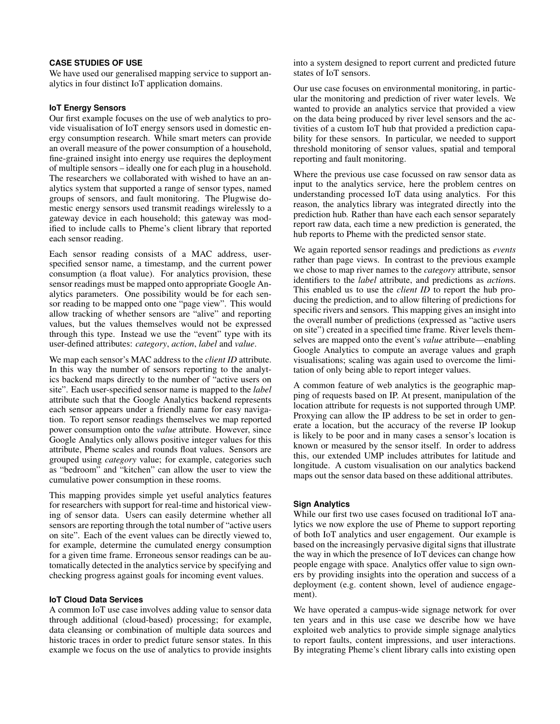## **CASE STUDIES OF USE**

We have used our generalised mapping service to support analytics in four distinct IoT application domains.

#### **IoT Energy Sensors**

Our first example focuses on the use of web analytics to provide visualisation of IoT energy sensors used in domestic energy consumption research. While smart meters can provide an overall measure of the power consumption of a household, fine-grained insight into energy use requires the deployment of multiple sensors – ideally one for each plug in a household. The researchers we collaborated with wished to have an analytics system that supported a range of sensor types, named groups of sensors, and fault monitoring. The Plugwise domestic energy sensors used transmit readings wirelessly to a gateway device in each household; this gateway was modified to include calls to Pheme's client library that reported each sensor reading.

Each sensor reading consists of a MAC address, userspecified sensor name, a timestamp, and the current power consumption (a float value). For analytics provision, these sensor readings must be mapped onto appropriate Google Analytics parameters. One possibility would be for each sensor reading to be mapped onto one "page view". This would allow tracking of whether sensors are "alive" and reporting values, but the values themselves would not be expressed through this type. Instead we use the "event" type with its user-defined attributes: *category*, *action*, *label* and *value*.

We map each sensor's MAC address to the *client ID* attribute. In this way the number of sensors reporting to the analytics backend maps directly to the number of "active users on site". Each user-specified sensor name is mapped to the *label* attribute such that the Google Analytics backend represents each sensor appears under a friendly name for easy navigation. To report sensor readings themselves we map reported power consumption onto the *value* attribute. However, since Google Analytics only allows positive integer values for this attribute, Pheme scales and rounds float values. Sensors are grouped using *category* value; for example, categories such as "bedroom" and "kitchen" can allow the user to view the cumulative power consumption in these rooms.

This mapping provides simple yet useful analytics features for researchers with support for real-time and historical viewing of sensor data. Users can easily determine whether all sensors are reporting through the total number of "active users on site". Each of the event values can be directly viewed to, for example, determine the cumulated energy consumption for a given time frame. Erroneous sensor readings can be automatically detected in the analytics service by specifying and checking progress against goals for incoming event values.

#### **IoT Cloud Data Services**

A common IoT use case involves adding value to sensor data through additional (cloud-based) processing; for example, data cleansing or combination of multiple data sources and historic traces in order to predict future sensor states. In this example we focus on the use of analytics to provide insights into a system designed to report current and predicted future states of IoT sensors.

Our use case focuses on environmental monitoring, in particular the monitoring and prediction of river water levels. We wanted to provide an analytics service that provided a view on the data being produced by river level sensors and the activities of a custom IoT hub that provided a prediction capability for these sensors. In particular, we needed to support threshold monitoring of sensor values, spatial and temporal reporting and fault monitoring.

Where the previous use case focussed on raw sensor data as input to the analytics service, here the problem centres on understanding processed IoT data using analytics. For this reason, the analytics library was integrated directly into the prediction hub. Rather than have each each sensor separately report raw data, each time a new prediction is generated, the hub reports to Pheme with the predicted sensor state.

We again reported sensor readings and predictions as *events* rather than page views. In contrast to the previous example we chose to map river names to the *category* attribute, sensor identifiers to the *label* attribute, and predictions as *action*s. This enabled us to use the *client ID* to report the hub producing the prediction, and to allow filtering of predictions for specific rivers and sensors. This mapping gives an insight into the overall number of predictions (expressed as "active users on site") created in a specified time frame. River levels themselves are mapped onto the event's *value* attribute—enabling Google Analytics to compute an average values and graph visualisations; scaling was again used to overcome the limitation of only being able to report integer values.

A common feature of web analytics is the geographic mapping of requests based on IP. At present, manipulation of the location attribute for requests is not supported through UMP. Proxying can allow the IP address to be set in order to generate a location, but the accuracy of the reverse IP lookup is likely to be poor and in many cases a sensor's location is known or measured by the sensor itself. In order to address this, our extended UMP includes attributes for latitude and longitude. A custom visualisation on our analytics backend maps out the sensor data based on these additional attributes.

#### **Sign Analytics**

While our first two use cases focused on traditional IoT analytics we now explore the use of Pheme to support reporting of both IoT analytics and user engagement. Our example is based on the increasingly pervasive digital signs that illustrate the way in which the presence of IoT devices can change how people engage with space. Analytics offer value to sign owners by providing insights into the operation and success of a deployment (e.g. content shown, level of audience engagement).

We have operated a campus-wide signage network for over ten years and in this use case we describe how we have exploited web analytics to provide simple signage analytics to report faults, content impressions, and user interactions. By integrating Pheme's client library calls into existing open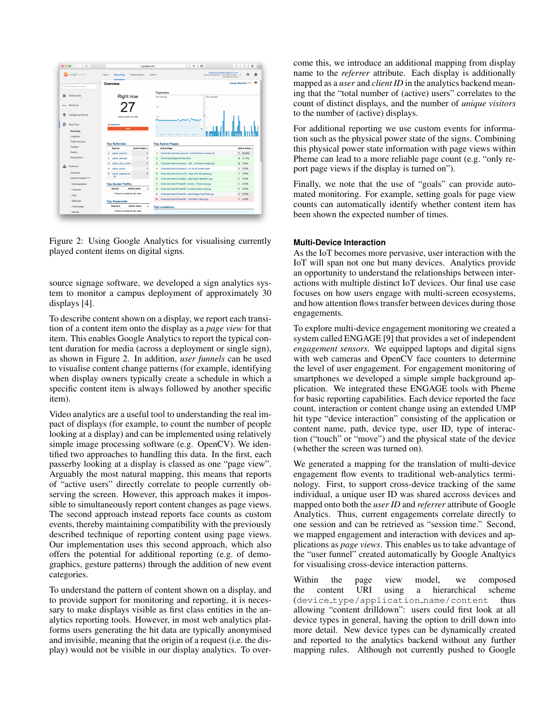<span id="page-4-0"></span>

Figure 2: Using Google Analytics for visualising currently played content items on digital signs.

source signage software, we developed a sign analytics system to monitor a campus deployment of approximately 30 displays [\[4\]](#page-6-9).

To describe content shown on a display, we report each transition of a content item onto the display as a *page view* for that item. This enables Google Analytics to report the typical content duration for media (across a deployment or single sign), as shown in Figure [2.](#page-4-0) In addition, *user funnels* can be used to visualise content change patterns (for example, identifying when display owners typically create a schedule in which a specific content item is always followed by another specific item).

Video analytics are a useful tool to understanding the real impact of displays (for example, to count the number of people looking at a display) and can be implemented using relatively simple image processing software (e.g. OpenCV). We identified two approaches to handling this data. In the first, each passerby looking at a display is classed as one "page view". Arguably the most natural mapping, this means that reports of "active users" directly correlate to people currently observing the screen. However, this approach makes it impossible to simultaneously report content changes as page views. The second approach instead reports face counts as custom events, thereby maintaining compatibility with the previously described technique of reporting content using page views. Our implementation uses this second approach, which also offers the potential for additional reporting (e.g. of demographics, gesture patterns) through the addition of new event categories.

To understand the pattern of content shown on a display, and to provide support for monitoring and reporting, it is necessary to make displays visible as first class entities in the analytics reporting tools. However, in most web analytics platforms users generating the hit data are typically anonymised and invisible, meaning that the origin of a request (i.e. the display) would not be visible in our display analytics. To overcome this, we introduce an additional mapping from display name to the *referrer* attribute. Each display is additionally mapped as a *user* and *client ID* in the analytics backend meaning that the "total number of (active) users" correlates to the count of distinct displays, and the number of *unique visitors* to the number of (active) displays.

For additional reporting we use custom events for information such as the physical power state of the signs. Combining this physical power state information with page views within Pheme can lead to a more reliable page count (e.g. "only report page views if the display is turned on").

Finally, we note that the use of "goals" can provide automated monitoring. For example, setting goals for page view counts can automatically identify whether content item has been shown the expected number of times.

#### **Multi-Device Interaction**

As the IoT becomes more pervasive, user interaction with the IoT will span not one but many devices. Analytics provide an opportunity to understand the relationships between interactions with multiple distinct IoT devices. Our final use case focuses on how users engage with multi-screen ecosystems, and how attention flows transfer between devices during those engagements.

To explore multi-device engagement monitoring we created a system called ENGAGE [\[9\]](#page-6-10) that provides a set of independent *engagement sensors*. We equipped laptops and digital signs with web cameras and OpenCV face counters to determine the level of user engagement. For engagement monitoring of smartphones we developed a simple simple background application. We integrated these ENGAGE tools with Pheme for basic reporting capabilities. Each device reported the face count, interaction or content change using an extended UMP hit type "device interaction" consisting of the application or content name, path, device type, user ID, type of interaction ("touch" or "move") and the physical state of the device (whether the screen was turned on).

We generated a mapping for the translation of multi-device engagement flow events to traditional web-analytics terminology. First, to support cross-device tracking of the same individual, a unique user ID was shared accross devices and mapped onto both the *user ID* and *referrer* attribute of Google Analytics. Thus, current engagements correlate directly to one session and can be retrieved as "session time." Second, we mapped engagement and interaction with devices and applications as *page views*. This enables us to take advantage of the "user funnel" created automatically by Google Analtyics for visualising cross-device interaction patterns.

Within the page view model, we composed the content URI using a hierarchical scheme (device\_type/application\_name/content thus allowing "content drilldown": users could first look at all device types in general, having the option to drill down into more detail. New device types can be dynamically created and reported to the analytics backend without any further mapping rules. Although not currently pushed to Google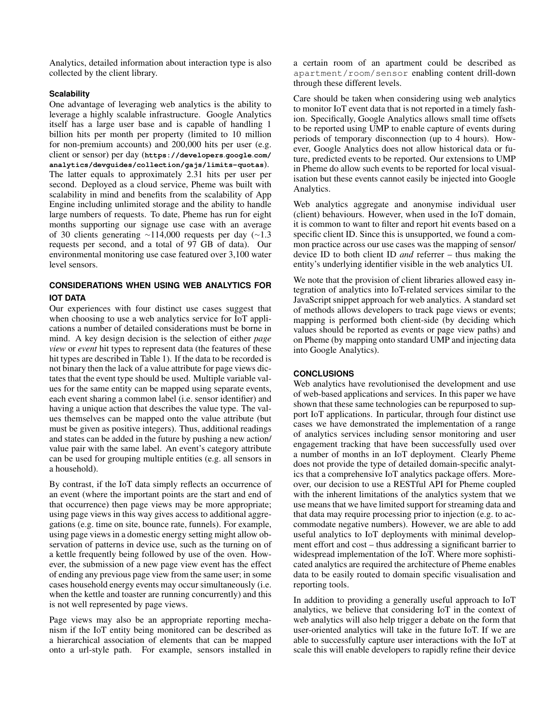Analytics, detailed information about interaction type is also collected by the client library.

## **Scalability**

One advantage of leveraging web analytics is the ability to leverage a highly scalable infrastructure. Google Analytics itself has a large user base and is capable of handling 1 billion hits per month per property (limited to 10 million for non-premium accounts) and 200,000 hits per user (e.g. client or sensor) per day (**[https://developers](https://developers.google.com/analytics/devguides/collection/gajs/limits-quotas)***.***google***.***com/ [analytics/devguides/collection/gajs/limits-quotas](https://developers.google.com/analytics/devguides/collection/gajs/limits-quotas)**). The latter equals to approximately 2.31 hits per user per second. Deployed as a cloud service, Pheme was built with scalability in mind and benefits from the scalability of App Engine including unlimited storage and the ability to handle large numbers of requests. To date, Pheme has run for eight months supporting our signage use case with an average of 30 clients generating  $\sim$ 114,000 requests per day ( $\sim$ 1.3 requests per second, and a total of 97 GB of data). Our environmental monitoring use case featured over 3,100 water level sensors.

# **CONSIDERATIONS WHEN USING WEB ANALYTICS FOR IOT DATA**

Our experiences with four distinct use cases suggest that when choosing to use a web analytics service for IoT applications a number of detailed considerations must be borne in mind. A key design decision is the selection of either *page view* or *event* hit types to represent data (the features of these hit types are described in Table [1\)](#page-2-0). If the data to be recorded is not binary then the lack of a value attribute for page views dictates that the event type should be used. Multiple variable values for the same entity can be mapped using separate events, each event sharing a common label (i.e. sensor identifier) and having a unique action that describes the value type. The values themselves can be mapped onto the value attribute (but must be given as positive integers). Thus, additional readings and states can be added in the future by pushing a new action/ value pair with the same label. An event's category attribute can be used for grouping multiple entities (e.g. all sensors in a household).

By contrast, if the IoT data simply reflects an occurrence of an event (where the important points are the start and end of that occurrence) then page views may be more appropriate; using page views in this way gives access to additional aggregations (e.g. time on site, bounce rate, funnels). For example, using page views in a domestic energy setting might allow observation of patterns in device use, such as the turning on of a kettle frequently being followed by use of the oven. However, the submission of a new page view event has the effect of ending any previous page view from the same user; in some cases household energy events may occur simultaneously (i.e. when the kettle and toaster are running concurrently) and this is not well represented by page views.

Page views may also be an appropriate reporting mechanism if the IoT entity being monitored can be described as a hierarchical association of elements that can be mapped onto a url-style path. For example, sensors installed in a certain room of an apartment could be described as apartment/room/sensor enabling content drill-down through these different levels.

Care should be taken when considering using web analytics to monitor IoT event data that is not reported in a timely fashion. Specifically, Google Analytics allows small time offsets to be reported using UMP to enable capture of events during periods of temporary disconnection (up to 4 hours). However, Google Analytics does not allow historical data or future, predicted events to be reported. Our extensions to UMP in Pheme do allow such events to be reported for local visualisation but these events cannot easily be injected into Google Analytics.

Web analytics aggregate and anonymise individual user (client) behaviours. However, when used in the IoT domain, it is common to want to filter and report hit events based on a specific client ID. Since this is unsupported, we found a common practice across our use cases was the mapping of sensor/ device ID to both client ID *and* referrer – thus making the entity's underlying identifier visible in the web analytics UI.

We note that the provision of client libraries allowed easy integration of analytics into IoT-related services similar to the JavaScript snippet approach for web analytics. A standard set of methods allows developers to track page views or events; mapping is performed both client-side (by deciding which values should be reported as events or page view paths) and on Pheme (by mapping onto standard UMP and injecting data into Google Analytics).

## **CONCLUSIONS**

Web analytics have revolutionised the development and use of web-based applications and services. In this paper we have shown that these same technologies can be repurposed to support IoT applications. In particular, through four distinct use cases we have demonstrated the implementation of a range of analytics services including sensor monitoring and user engagement tracking that have been successfully used over a number of months in an IoT deployment. Clearly Pheme does not provide the type of detailed domain-specific analytics that a comprehensive IoT analytics package offers. Moreover, our decision to use a RESTful API for Pheme coupled with the inherent limitations of the analytics system that we use means that we have limited support for streaming data and that data may require processing prior to injection (e.g. to accommodate negative numbers). However, we are able to add useful analytics to IoT deployments with minimal development effort and cost – thus addressing a significant barrier to widespread implementation of the IoT. Where more sophisticated analytics are required the architecture of Pheme enables data to be easily routed to domain specific visualisation and reporting tools.

In addition to providing a generally useful approach to IoT analytics, we believe that considering IoT in the context of web analytics will also help trigger a debate on the form that user-oriented analytics will take in the future IoT. If we are able to successfully capture user interactions with the IoT at scale this will enable developers to rapidly refine their device